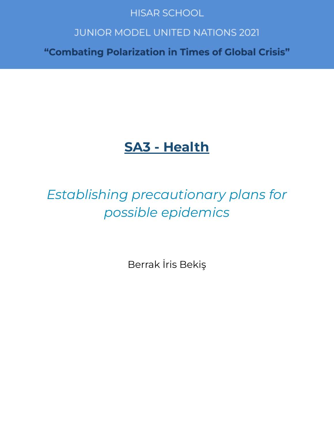## **HISAR SCHOOL**

# **JUNIOR MODEL UNITED NATIONS 2021**

"Combating Polarization in Times of Global Crisis"

# **SA3 - Health**

# Establishing precautionary plans for possible epidemics

Berrak İris Bekiş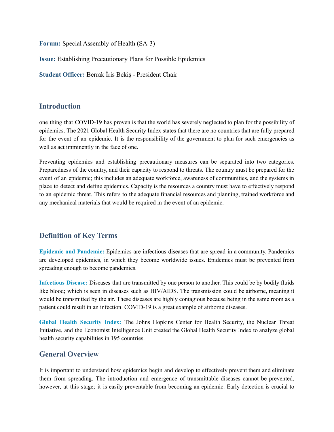**Forum:** Special Assembly of Health (SA-3)

**Issue:** Establishing Precautionary Plans for Possible Epidemics

**Student Officer:** Berrak İris Bekiş - President Chair

#### **Introduction**

one thing that COVID-19 has proven is that the world has severely neglected to plan for the possibility of epidemics. The 2021 Global Health Security Index states that there are no countries that are fully prepared for the event of an epidemic. It is the responsibility of the government to plan for such emergencies as well as act imminently in the face of one.

Preventing epidemics and establishing precautionary measures can be separated into two categories. Preparedness of the country, and their capacity to respond to threats. The country must be prepared for the event of an epidemic; this includes an adequate workforce, awareness of communities, and the systems in place to detect and define epidemics. Capacity is the resources a country must have to effectively respond to an epidemic threat. This refers to the adequate financial resources and planning, trained workforce and any mechanical materials that would be required in the event of an epidemic.

## **Definition of Key Terms**

**Epidemic and Pandemic:** Epidemics are infectious diseases that are spread in a community. Pandemics are developed epidemics, in which they become worldwide issues. Epidemics must be prevented from spreading enough to become pandemics.

**Infectious Disease:** Diseases that are transmitted by one person to another. This could be by bodily fluids like blood; which is seen in diseases such as HIV/AIDS. The transmission could be airborne, meaning it would be transmitted by the air. These diseases are highly contagious because being in the same room as a patient could result in an infection. COVID-19 is a great example of airborne diseases.

**Global Health Security Index:** The Johns Hopkins Center for Health Security, the Nuclear Threat Initiative, and the Economist Intelligence Unit created the Global Health Security Index to analyze global health security capabilities in 195 countries.

## **General Overview**

It is important to understand how epidemics begin and develop to effectively prevent them and eliminate them from spreading. The introduction and emergence of transmittable diseases cannot be prevented, however, at this stage; it is easily preventable from becoming an epidemic. Early detection is crucial to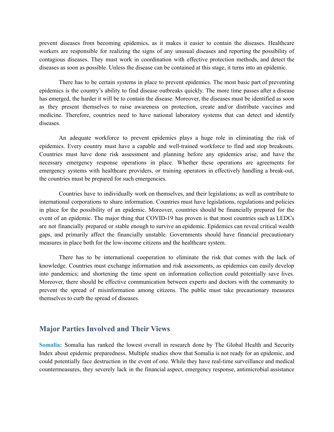prevent diseases from becoming epidemics, as it makes it easier to contain the diseases. Healthcare workers are responsible for realizing the signs of any unusual diseases and reporting the possibility of contagious diseases. They must work in coordination with effective protection methods, and detect the diseases as soon as possible. Unless the disease can be contained at this stage, it turns into an epidemic.

There has to be certain systems in place to prevent epidemics. The most basic part of preventing epidemics is the country's ability to find disease outbreaks quickly. The more time passes after a disease has emerged, the harder it will be to contain the disease. Moreover, the diseases must be identified as soon as they present themselves to raise awareness on protection, create and/or distribute vaccines and medicine. Therefore, countries need to have national laboratory systems that can detect and identify diseases.

An adequate workforce to prevent epidemics plays a huge role in eliminating the risk of epidemics. Every country must have a capable and well-trained workforce to find and stop breakouts. Countries must have done risk assessment and planning before any epidemics arise, and have the necessary emergency response operations in place. Whether these operations are agreements for emergency systems with healthcare providers, or training operators in effectively handling a break-out, the countries must be prepared for such emergencies.

Countries have to individually work on themselves, and their legislations; as well as contribute to international corporations to share information. Countries must have legislations, regulations and policies in place for the possibility of an epidemic. Moreover, countries should be financially prepared for the event of an epidemic. The major thing that COVID-19 has proven is that most countries such as LEDCs are not financially prepared or stable enough to survive an epidemic. Epidemics can reveal critical wealth gaps, and primarily affect the financially unstable. Governments should have financial precautionary measures in place both for the low-income citizens and the healthcare system.

There has to be international cooperation to eliminate the risk that comes with the lack of knowledge. Countries must exchange information and risk assessments, as epidemics can easily develop into pandemics; and shortening the time spent on information collection could potentially save lives. Moreover, there should be effective communication between experts and doctors with the community to prevent the spread of misinformation among citizens. The public must take precautionary measures themselves to curb the spread of diseases.

#### **Major Parties Involved and Their Views**

**Somalia:** Somalia has ranked the lowest overall in research done by The Global Health and Security Index about epidemic preparedness. Multiple studies show that Somalia is not ready for an epidemic, and could potentially face destruction in the event of one. While they have real-time surveillance and medical countermeasures, they severely lack in the financial aspect, emergency response, antimicrobial assistance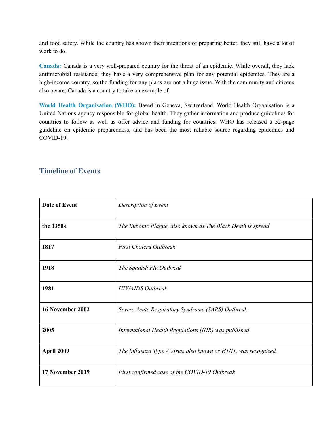and food safety. While the country has shown their intentions of preparing better, they still have a lot of work to do.

**Canada:** Canada is a very well-prepared country for the threat of an epidemic. While overall, they lack antimicrobial resistance; they have a very comprehensive plan for any potential epidemics. They are a high-income country, so the funding for any plans are not a huge issue. With the community and citizens also aware; Canada is a country to take an example of.

**World Health Organisation (WHO):** Based in Geneva, Switzerland, World Health Organisation is a United Nations agency responsible for global health. They gather information and produce guidelines for countries to follow as well as offer advice and funding for countries. WHO has released a 52-page guideline on epidemic preparedness, and has been the most reliable source regarding epidemics and COVID-19.

#### **Timeline of Events**

| Date of Event    | Description of Event                                            |
|------------------|-----------------------------------------------------------------|
| the 1350s        | The Bubonic Plague, also known as The Black Death is spread     |
| 1817             | First Cholera Outbreak                                          |
| 1918             | The Spanish Flu Outbreak                                        |
| 1981             | <b>HIV/AIDS Outbreak</b>                                        |
| 16 November 2002 | Severe Acute Respiratory Syndrome (SARS) Outbreak               |
| 2005             | International Health Regulations (IHR) was published            |
| April 2009       | The Influenza Type A Virus, also known as HINI, was recognized. |
| 17 November 2019 | First confirmed case of the COVID-19 Outbreak                   |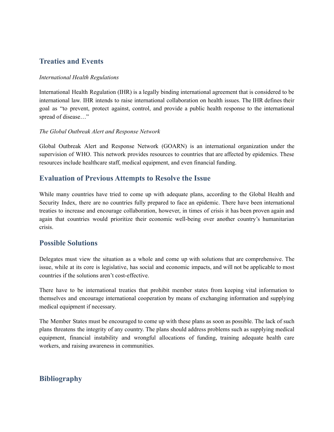## **Treaties and Events**

#### *International Health Regulations*

International Health Regulation (IHR) is a legally binding international agreement that is considered to be international law. IHR intends to raise international collaboration on health issues. The IHR defines their goal as "to prevent, protect against, control, and provide a public health response to the international spread of disease…"

#### *The Global Outbreak Alert and Response Network*

Global Outbreak Alert and Response Network (GOARN) is an international organization under the supervision of WHO. This network provides resources to countries that are affected by epidemics. These resources include healthcare staff, medical equipment, and even financial funding.

#### **Evaluation of Previous Attempts to Resolve the Issue**

While many countries have tried to come up with adequate plans, according to the Global Health and Security Index, there are no countries fully prepared to face an epidemic. There have been international treaties to increase and encourage collaboration, however, in times of crisis it has been proven again and again that countries would prioritize their economic well-being over another country's humanitarian crisis.

#### **Possible Solutions**

Delegates must view the situation as a whole and come up with solutions that are comprehensive. The issue, while at its core is legislative, has social and economic impacts, and will not be applicable to most countries if the solutions aren't cost-effective.

There have to be international treaties that prohibit member states from keeping vital information to themselves and encourage international cooperation by means of exchanging information and supplying medical equipment if necessary.

The Member States must be encouraged to come up with these plans as soon as possible. The lack of such plans threatens the integrity of any country. The plans should address problems such as supplying medical equipment, financial instability and wrongful allocations of funding, training adequate health care workers, and raising awareness in communities.

## **Bibliography**